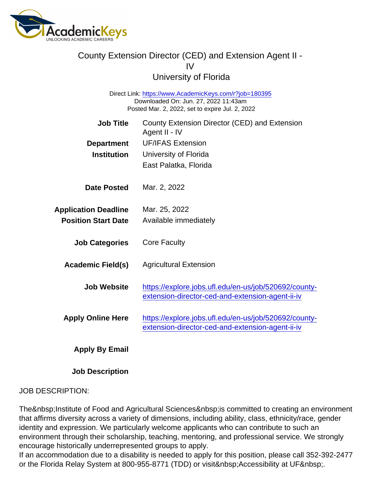# County Extension Director (CED) and Extension Agent II - IV

University of Florida

Direct Link: <https://www.AcademicKeys.com/r?job=180395> Downloaded On: Jun. 27, 2022 11:43am Posted Mar. 2, 2022, set to expire Jul. 2, 2022

| <b>Job Title</b><br>Department<br>Institution             | County Extension Director (CED) and Extension<br>Agent II - IV<br><b>UF/IFAS Extension</b><br>University of Florida<br>East Palatka, Florida |
|-----------------------------------------------------------|----------------------------------------------------------------------------------------------------------------------------------------------|
| Date Posted                                               | Mar. 2, 2022                                                                                                                                 |
| <b>Application Deadline</b><br><b>Position Start Date</b> | Mar. 25, 2022<br>Available immediately                                                                                                       |
| <b>Job Categories</b>                                     | <b>Core Faculty</b>                                                                                                                          |
| Academic Field(s)                                         | <b>Agricultural Extension</b>                                                                                                                |
| Job Website                                               | https://explore.jobs.ufl.edu/en-us/job/520692/county-<br>extension-director-ced-and-extension-agent-ii-iv                                    |
| <b>Apply Online Here</b>                                  | https://explore.jobs.ufl.edu/en-us/job/520692/county-<br>extension-director-ced-and-extension-agent-ii-iv                                    |
| Apply By Email                                            |                                                                                                                                              |

Job Description

#### JOB DESCRIPTION:

The Institute of Food and Agricultural Sciences is committed to creating an environment that affirms diversity across a variety of dimensions, including ability, class, ethnicity/race, gender identity and expression. We particularly welcome applicants who can contribute to such an environment through their scholarship, teaching, mentoring, and professional service. We strongly encourage historically underrepresented groups to apply.

If an accommodation due to a disability is needed to apply for this position, please call 352-392-2477 or the Florida Relay System at 800-955-8771 (TDD) or visit Accessibility at UF .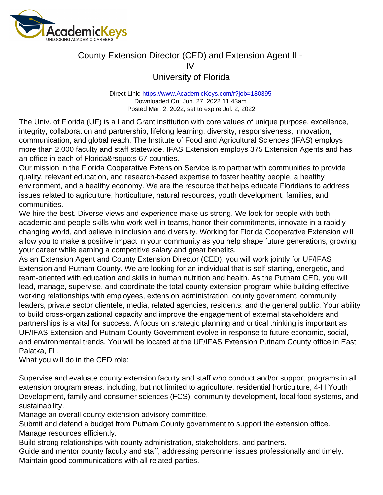Direct Link: <https://www.AcademicKeys.com/r?job=180395> Downloaded On: Jun. 27, 2022 11:43am Posted Mar. 2, 2022, set to expire Jul. 2, 2022

The Univ. of Florida (UF) is a Land Grant institution with core values of unique purpose, excellence, integrity, collaboration and partnership, lifelong learning, diversity, responsiveness, innovation, communication, and global reach. The Institute of Food and Agricultural Sciences (IFAS) employs more than 2,000 faculty and staff statewide. IFAS Extension employs 375 Extension Agents and has an office in each of Florida&rsquo:s 67 counties.

Our mission in the Florida Cooperative Extension Service is to partner with communities to provide quality, relevant education, and research-based expertise to foster healthy people, a healthy environment, and a healthy economy. We are the resource that helps educate Floridians to address issues related to agriculture, horticulture, natural resources, youth development, families, and communities.

We hire the best. Diverse views and experience make us strong. We look for people with both academic and people skills who work well in teams, honor their commitments, innovate in a rapidly changing world, and believe in inclusion and diversity. Working for Florida Cooperative Extension will allow you to make a positive impact in your community as you help shape future generations, growing your career while earning a competitive salary and great benefits.

As an Extension Agent and County Extension Director (CED), you will work jointly for UF/IFAS Extension and Putnam County. We are looking for an individual that is self-starting, energetic, and team-oriented with education and skills in human nutrition and health. As the Putnam CED, you will lead, manage, supervise, and coordinate the total county extension program while building effective working relationships with employees, extension administration, county government, community leaders, private sector clientele, media, related agencies, residents, and the general public. Your ability to build cross-organizational capacity and improve the engagement of external stakeholders and partnerships is a vital for success. A focus on strategic planning and critical thinking is important as UF/IFAS Extension and Putnam County Government evolve in response to future economic, social, and environmental trends. You will be located at the UF/IFAS Extension Putnam County office in East Palatka, FL.

What you will do in the CED role:

Supervise and evaluate county extension faculty and staff who conduct and/or support programs in all extension program areas, including, but not limited to agriculture, residential horticulture, 4-H Youth Development, family and consumer sciences (FCS), community development, local food systems, and sustainability.

Manage an overall county extension advisory committee.

Submit and defend a budget from Putnam County government to support the extension office. Manage resources efficiently.

Build strong relationships with county administration, stakeholders, and partners.

Guide and mentor county faculty and staff, addressing personnel issues professionally and timely. Maintain good communications with all related parties.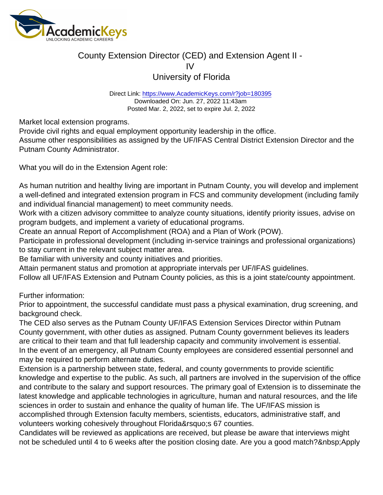Direct Link: <https://www.AcademicKeys.com/r?job=180395> Downloaded On: Jun. 27, 2022 11:43am Posted Mar. 2, 2022, set to expire Jul. 2, 2022

Market local extension programs.

Provide civil rights and equal employment opportunity leadership in the office.

Assume other responsibilities as assigned by the UF/IFAS Central District Extension Director and the Putnam County Administrator.

What you will do in the Extension Agent role:

As human nutrition and healthy living are important in Putnam County, you will develop and implement a well-defined and integrated extension program in FCS and community development (including family and individual financial management) to meet community needs.

Work with a citizen advisory committee to analyze county situations, identify priority issues, advise on program budgets, and implement a variety of educational programs.

Create an annual Report of Accomplishment (ROA) and a Plan of Work (POW).

Participate in professional development (including in-service trainings and professional organizations) to stay current in the relevant subject matter area.

Be familiar with university and county initiatives and priorities.

Attain permanent status and promotion at appropriate intervals per UF/IFAS guidelines.

Follow all UF/IFAS Extension and Putnam County policies, as this is a joint state/county appointment.

Further information:

Prior to appointment, the successful candidate must pass a physical examination, drug screening, and background check.

The CED also serves as the Putnam County UF/IFAS Extension Services Director within Putnam County government, with other duties as assigned. Putnam County government believes its leaders are critical to their team and that full leadership capacity and community involvement is essential. In the event of an emergency, all Putnam County employees are considered essential personnel and may be required to perform alternate duties.

Extension is a partnership between state, federal, and county governments to provide scientific knowledge and expertise to the public. As such, all partners are involved in the supervision of the office and contribute to the salary and support resources. The primary goal of Extension is to disseminate the latest knowledge and applicable technologies in agriculture, human and natural resources, and the life sciences in order to sustain and enhance the quality of human life. The UF/IFAS mission is accomplished through Extension faculty members, scientists, educators, administrative staff, and volunteers working cohesively throughout Florida' 67 counties.

Candidates will be reviewed as applications are received, but please be aware that interviews might not be scheduled until 4 to 6 weeks after the position closing date. Are you a good match? Apply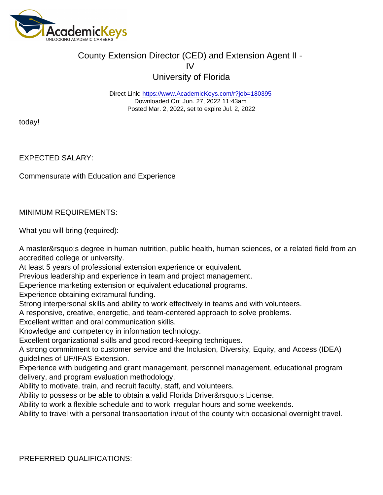Direct Link: <https://www.AcademicKeys.com/r?job=180395> Downloaded On: Jun. 27, 2022 11:43am Posted Mar. 2, 2022, set to expire Jul. 2, 2022

today!

EXPECTED SALARY:

Commensurate with Education and Experience

MINIMUM REQUIREMENTS:

What you will bring (required):

A master's degree in human nutrition, public health, human sciences, or a related field from an accredited college or university.

At least 5 years of professional extension experience or equivalent.

Previous leadership and experience in team and project management.

Experience marketing extension or equivalent educational programs.

Experience obtaining extramural funding.

Strong interpersonal skills and ability to work effectively in teams and with volunteers.

A responsive, creative, energetic, and team-centered approach to solve problems.

Excellent written and oral communication skills.

Knowledge and competency in information technology.

Excellent organizational skills and good record-keeping techniques.

A strong commitment to customer service and the Inclusion, Diversity, Equity, and Access (IDEA) guidelines of UF/IFAS Extension.

Experience with budgeting and grant management, personnel management, educational program delivery, and program evaluation methodology.

Ability to motivate, train, and recruit faculty, staff, and volunteers.

Ability to possess or be able to obtain a valid Florida Driver' License.

Ability to work a flexible schedule and to work irregular hours and some weekends.

Ability to travel with a personal transportation in/out of the county with occasional overnight travel.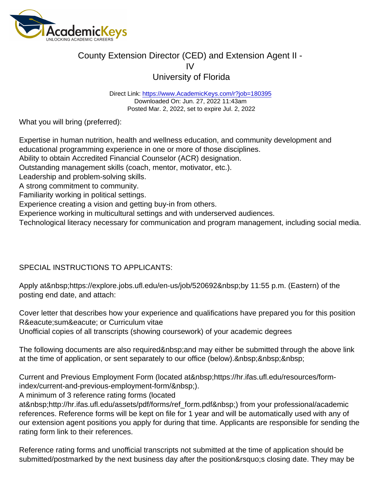Direct Link: <https://www.AcademicKeys.com/r?job=180395> Downloaded On: Jun. 27, 2022 11:43am Posted Mar. 2, 2022, set to expire Jul. 2, 2022

What you will bring (preferred):

Expertise in human nutrition, health and wellness education, and community development and educational programming experience in one or more of those disciplines. Ability to obtain Accredited Financial Counselor (ACR) designation.

Outstanding management skills (coach, mentor, motivator, etc.).

Leadership and problem-solving skills.

A strong commitment to community.

Familiarity working in political settings.

Experience creating a vision and getting buy-in from others.

Experience working in multicultural settings and with underserved audiences.

Technological literacy necessary for communication and program management, including social media.

SPECIAL INSTRUCTIONS TO APPLICANTS:

Apply at&nbsp:https://explore.jobs.ufl.edu/en-us/job/520692&nbsp:by 11:55 p.m. (Eastern) of the posting end date, and attach:

Cover letter that describes how your experience and qualifications have prepared you for this position Ré sumé or Curriculum vitae

Unofficial copies of all transcripts (showing coursework) of your academic degrees

The following documents are also required and may either be submitted through the above link at the time of application, or sent separately to our office (below). & nbsp; & nbsp; & nbsp;

Current and Previous Employment Form (located at https://hr.ifas.ufl.edu/resources/formindex/current-and-previous-employment-form/ ).

A minimum of 3 reference rating forms (located

at http://hr.ifas.ufl.edu/assets/pdf/forms/ref\_form.pdf ) from your professional/academic references. Reference forms will be kept on file for 1 year and will be automatically used with any of our extension agent positions you apply for during that time. Applicants are responsible for sending the rating form link to their references.

Reference rating forms and unofficial transcripts not submitted at the time of application should be submitted/postmarked by the next business day after the position' closing date. They may be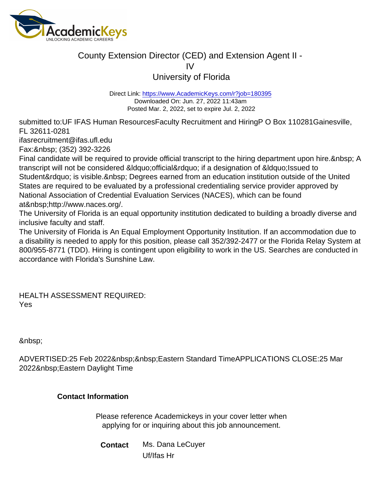## County Extension Director (CED) and Extension Agent II - IV

University of Florida

Direct Link: <https://www.AcademicKeys.com/r?job=180395> Downloaded On: Jun. 27, 2022 11:43am Posted Mar. 2, 2022, set to expire Jul. 2, 2022

submitted to:UF IFAS Human ResourcesFaculty Recruitment and HiringP O Box 110281Gainesville, FL 32611-0281

ifasrecruitment@ifas.ufl.edu

Fax: (352) 392-3226

Final candidate will be required to provide official transcript to the hiring department upon hire. & nbsp; A transcript will not be considered &Idquo; official" if a designation of &Idquo; Issued to Student" is visible. Degrees earned from an education institution outside of the United States are required to be evaluated by a professional credentialing service provider approved by National Association of Credential Evaluation Services (NACES), which can be found at&nbsp:http://www.naces.org/.

The University of Florida is an equal opportunity institution dedicated to building a broadly diverse and inclusive faculty and staff.

The University of Florida is An Equal Employment Opportunity Institution. If an accommodation due to a disability is needed to apply for this position, please call 352/392-2477 or the Florida Relay System at 800/955-8771 (TDD). Hiring is contingent upon eligibility to work in the US. Searches are conducted in accordance with Florida's Sunshine Law.

HEALTH ASSESSMENT REQUIRED: Yes

&nbsp:

ADVERTISED:25 Feb 2022 Eastern Standard TimeAPPLICATIONS CLOSE:25 Mar 2022 Eastern Daylight Time

Contact Information

Please reference Academickeys in your cover letter when applying for or inquiring about this job announcement.

Contact Ms. Dana LeCuyer Uf/Ifas Hr